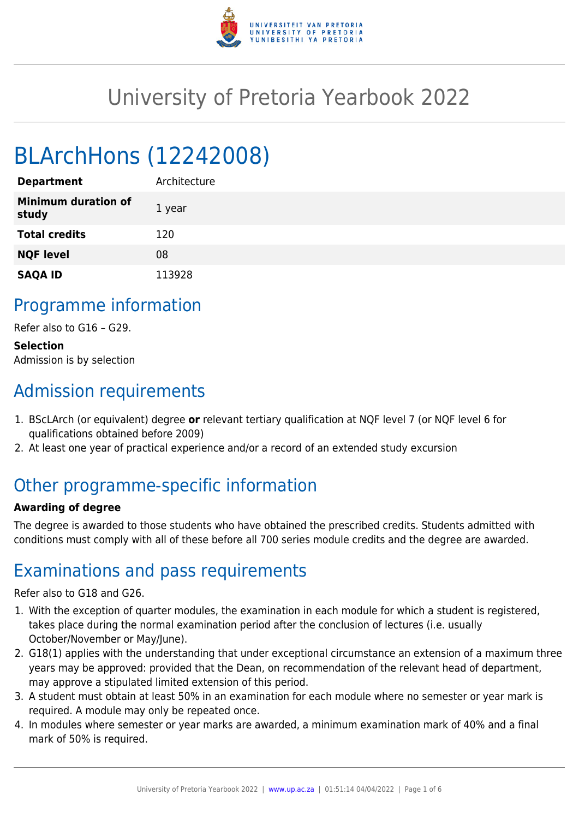

# University of Pretoria Yearbook 2022

# BLArchHons (12242008)

| <b>Department</b>                   | Architecture |
|-------------------------------------|--------------|
| <b>Minimum duration of</b><br>study | 1 year       |
| <b>Total credits</b>                | 120          |
| <b>NQF level</b>                    | 08           |
| <b>SAQA ID</b>                      | 113928       |

## Programme information

Refer also to G16 – G29.

**Selection** Admission is by selection

# Admission requirements

- 1. BScLArch (or equivalent) degree **or** relevant tertiary qualification at NQF level 7 (or NQF level 6 for qualifications obtained before 2009)
- 2. At least one year of practical experience and/or a record of an extended study excursion

# Other programme-specific information

#### **Awarding of degree**

The degree is awarded to those students who have obtained the prescribed credits. Students admitted with conditions must comply with all of these before all 700 series module credits and the degree are awarded.

# Examinations and pass requirements

Refer also to G18 and G26.

- 1. With the exception of quarter modules, the examination in each module for which a student is registered, takes place during the normal examination period after the conclusion of lectures (i.e. usually October/November or May/June).
- 2. G18(1) applies with the understanding that under exceptional circumstance an extension of a maximum three years may be approved: provided that the Dean, on recommendation of the relevant head of department, may approve a stipulated limited extension of this period.
- 3. A student must obtain at least 50% in an examination for each module where no semester or year mark is required. A module may only be repeated once.
- 4. In modules where semester or year marks are awarded, a minimum examination mark of 40% and a final mark of 50% is required.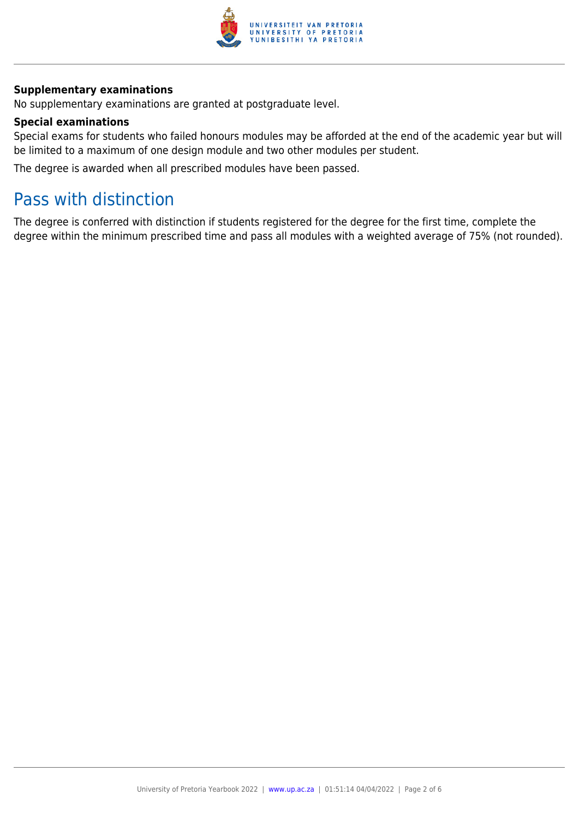

#### **Supplementary examinations**

No supplementary examinations are granted at postgraduate level.

#### **Special examinations**

Special exams for students who failed honours modules may be afforded at the end of the academic year but will be limited to a maximum of one design module and two other modules per student.

The degree is awarded when all prescribed modules have been passed.

# Pass with distinction

The degree is conferred with distinction if students registered for the degree for the first time, complete the degree within the minimum prescribed time and pass all modules with a weighted average of 75% (not rounded).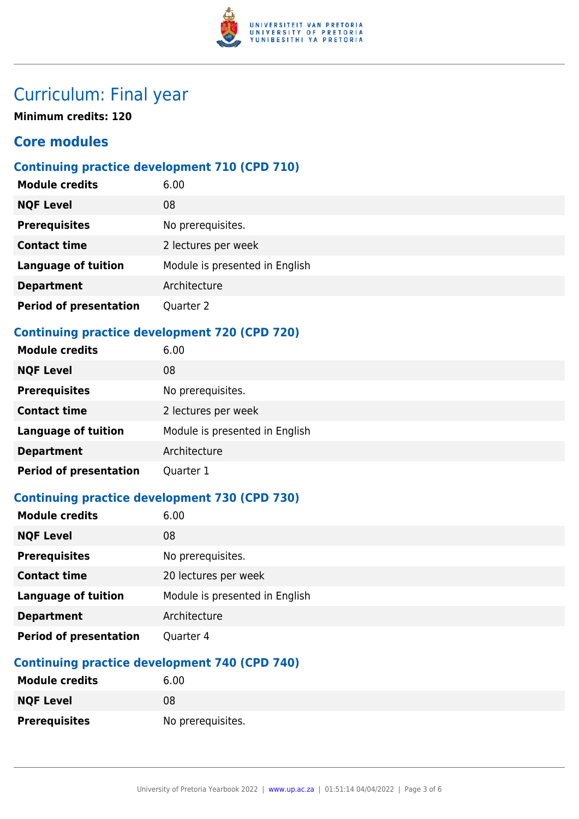

# Curriculum: Final year

**Minimum credits: 120**

## **Core modules**

### **Continuing practice development 710 (CPD 710)**

| <b>Module credits</b>         | 6.00                           |
|-------------------------------|--------------------------------|
| <b>NQF Level</b>              | 08                             |
| <b>Prerequisites</b>          | No prerequisites.              |
| <b>Contact time</b>           | 2 lectures per week            |
| <b>Language of tuition</b>    | Module is presented in English |
| <b>Department</b>             | Architecture                   |
| <b>Period of presentation</b> | Quarter 2                      |

### **Continuing practice development 720 (CPD 720)**

| <b>Module credits</b>         | 6.00                           |
|-------------------------------|--------------------------------|
| <b>NQF Level</b>              | 08                             |
| <b>Prerequisites</b>          | No prerequisites.              |
| <b>Contact time</b>           | 2 lectures per week            |
| <b>Language of tuition</b>    | Module is presented in English |
| <b>Department</b>             | Architecture                   |
| <b>Period of presentation</b> | Quarter 1                      |

### **Continuing practice development 730 (CPD 730)**

| <b>Module credits</b>         | 6.00                           |
|-------------------------------|--------------------------------|
| <b>NQF Level</b>              | 08                             |
| <b>Prerequisites</b>          | No prerequisites.              |
| <b>Contact time</b>           | 20 lectures per week           |
| <b>Language of tuition</b>    | Module is presented in English |
| <b>Department</b>             | Architecture                   |
| <b>Period of presentation</b> | Quarter 4                      |

### **Continuing practice development 740 (CPD 740)**

| <b>Module credits</b> | 6.00              |
|-----------------------|-------------------|
| <b>NQF Level</b>      | 08                |
| <b>Prerequisites</b>  | No prerequisites. |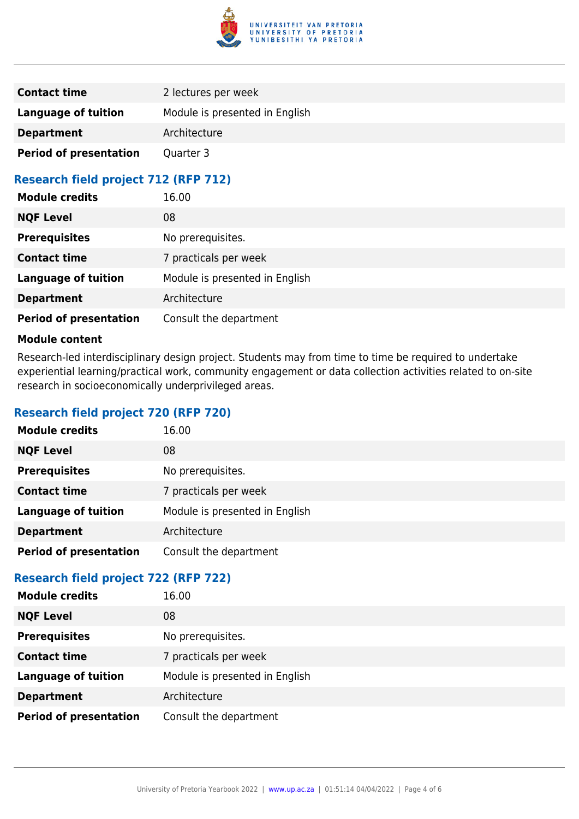

| <b>Contact time</b>           | 2 lectures per week            |
|-------------------------------|--------------------------------|
| Language of tuition           | Module is presented in English |
| <b>Department</b>             | Architecture                   |
| <b>Period of presentation</b> | Quarter 3                      |

### **Research field project 712 (RFP 712)**

| <b>Module credits</b>         | 16.00                          |
|-------------------------------|--------------------------------|
| <b>NQF Level</b>              | 08                             |
| <b>Prerequisites</b>          | No prerequisites.              |
| <b>Contact time</b>           | 7 practicals per week          |
| <b>Language of tuition</b>    | Module is presented in English |
| <b>Department</b>             | Architecture                   |
| <b>Period of presentation</b> | Consult the department         |

#### **Module content**

Research-led interdisciplinary design project. Students may from time to time be required to undertake experiential learning/practical work, community engagement or data collection activities related to on-site research in socioeconomically underprivileged areas.

#### **Research field project 720 (RFP 720)**

| <b>Module credits</b>         | 16.00                          |
|-------------------------------|--------------------------------|
| <b>NQF Level</b>              | 08                             |
| <b>Prerequisites</b>          | No prerequisites.              |
| <b>Contact time</b>           | 7 practicals per week          |
| <b>Language of tuition</b>    | Module is presented in English |
| <b>Department</b>             | Architecture                   |
| <b>Period of presentation</b> | Consult the department         |

### **Research field project 722 (RFP 722)**

| <b>Module credits</b>         | 16.00                          |
|-------------------------------|--------------------------------|
| <b>NQF Level</b>              | 08                             |
| <b>Prerequisites</b>          | No prerequisites.              |
| <b>Contact time</b>           | 7 practicals per week          |
| <b>Language of tuition</b>    | Module is presented in English |
| <b>Department</b>             | Architecture                   |
| <b>Period of presentation</b> | Consult the department         |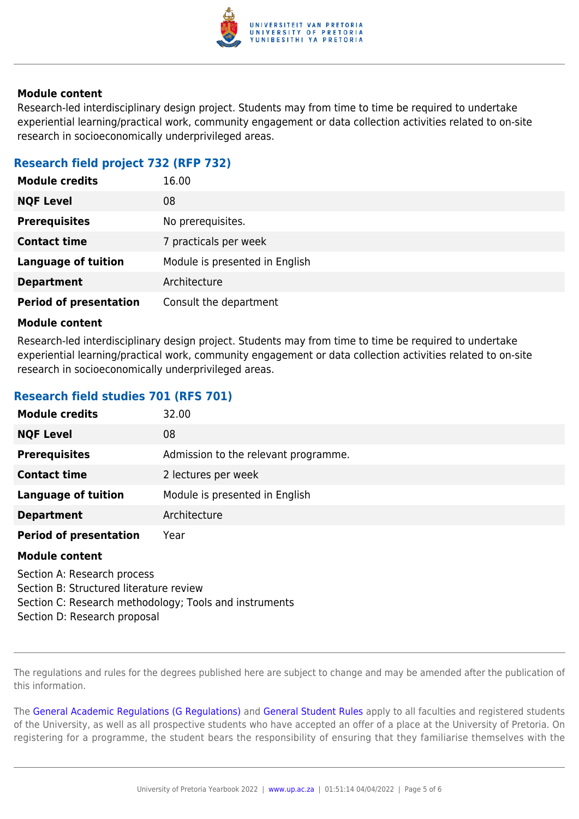

#### **Module content**

Research-led interdisciplinary design project. Students may from time to time be required to undertake experiential learning/practical work, community engagement or data collection activities related to on-site research in socioeconomically underprivileged areas.

#### **Research field project 732 (RFP 732)**

| <b>Module credits</b>         | 16.00                          |
|-------------------------------|--------------------------------|
| <b>NQF Level</b>              | 08                             |
| <b>Prerequisites</b>          | No prerequisites.              |
| <b>Contact time</b>           | 7 practicals per week          |
| <b>Language of tuition</b>    | Module is presented in English |
| <b>Department</b>             | Architecture                   |
| <b>Period of presentation</b> | Consult the department         |

#### **Module content**

Research-led interdisciplinary design project. Students may from time to time be required to undertake experiential learning/practical work, community engagement or data collection activities related to on-site research in socioeconomically underprivileged areas.

### **Research field studies 701 (RFS 701)**

| <b>Module credits</b>                                                  | 32.00                                |
|------------------------------------------------------------------------|--------------------------------------|
| <b>NQF Level</b>                                                       | 08                                   |
| <b>Prerequisites</b>                                                   | Admission to the relevant programme. |
| <b>Contact time</b>                                                    | 2 lectures per week                  |
| <b>Language of tuition</b>                                             | Module is presented in English       |
| <b>Department</b>                                                      | Architecture                         |
| <b>Period of presentation</b>                                          | Year                                 |
| <b>Module content</b>                                                  |                                      |
| Section A: Research process<br>Section B: Structured literature review |                                      |

Section C: Research methodology; Tools and instruments

Section D: Research proposal

The regulations and rules for the degrees published here are subject to change and may be amended after the publication of this information.

The [General Academic Regulations \(G Regulations\)](https://www.up.ac.za/yearbooks/2022/rules/view/REG) and [General Student Rules](https://www.up.ac.za/yearbooks/2022/rules/view/RUL) apply to all faculties and registered students of the University, as well as all prospective students who have accepted an offer of a place at the University of Pretoria. On registering for a programme, the student bears the responsibility of ensuring that they familiarise themselves with the